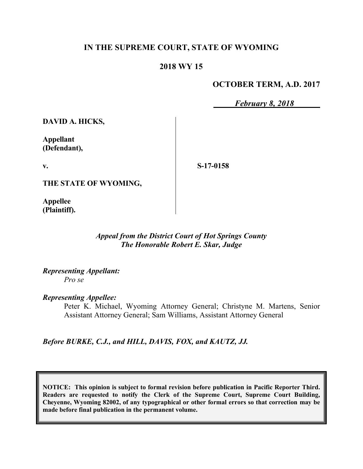# **IN THE SUPREME COURT, STATE OF WYOMING**

# **2018 WY 15**

### **OCTOBER TERM, A.D. 2017**

*February 8, 2018*

**DAVID A. HICKS,**

**Appellant (Defendant),**

**v.**

**S-17-0158**

**THE STATE OF WYOMING,**

**Appellee (Plaintiff).**

#### *Appeal from the District Court of Hot Springs County The Honorable Robert E. Skar, Judge*

*Representing Appellant: Pro se*

*Representing Appellee:*

Peter K. Michael, Wyoming Attorney General; Christyne M. Martens, Senior Assistant Attorney General; Sam Williams, Assistant Attorney General

*Before BURKE, C.J., and HILL, DAVIS, FOX, and KAUTZ, JJ.*

**NOTICE: This opinion is subject to formal revision before publication in Pacific Reporter Third. Readers are requested to notify the Clerk of the Supreme Court, Supreme Court Building, Cheyenne, Wyoming 82002, of any typographical or other formal errors so that correction may be made before final publication in the permanent volume.**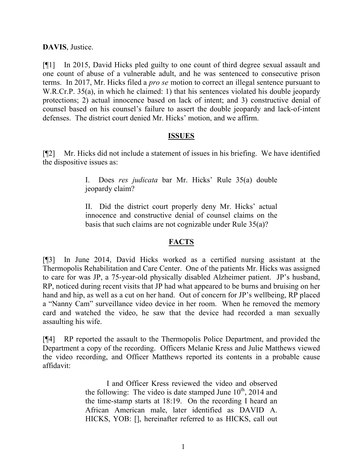**DAVIS**, Justice.

[¶1] In 2015, David Hicks pled guilty to one count of third degree sexual assault and one count of abuse of a vulnerable adult, and he was sentenced to consecutive prison terms. In 2017, Mr. Hicks filed a *pro se* motion to correct an illegal sentence pursuant to W.R.Cr.P. 35(a), in which he claimed: 1) that his sentences violated his double jeopardy protections; 2) actual innocence based on lack of intent; and 3) constructive denial of counsel based on his counsel's failure to assert the double jeopardy and lack-of-intent defenses. The district court denied Mr. Hicks' motion, and we affirm.

### **ISSUES**

[¶2] Mr. Hicks did not include a statement of issues in his briefing. We have identified the dispositive issues as:

> I. Does *res judicata* bar Mr. Hicks' Rule 35(a) double jeopardy claim?

> II. Did the district court properly deny Mr. Hicks' actual innocence and constructive denial of counsel claims on the basis that such claims are not cognizable under Rule 35(a)?

### **FACTS**

[¶3] In June 2014, David Hicks worked as a certified nursing assistant at the Thermopolis Rehabilitation and Care Center. One of the patients Mr. Hicks was assigned to care for was JP, a 75-year-old physically disabled Alzheimer patient. JP's husband, RP, noticed during recent visits that JP had what appeared to be burns and bruising on her hand and hip, as well as a cut on her hand. Out of concern for JP's wellbeing, RP placed a "Nanny Cam" surveillance video device in her room. When he removed the memory card and watched the video, he saw that the device had recorded a man sexually assaulting his wife.

[¶4] RP reported the assault to the Thermopolis Police Department, and provided the Department a copy of the recording. Officers Melanie Kress and Julie Matthews viewed the video recording, and Officer Matthews reported its contents in a probable cause affidavit:

> I and Officer Kress reviewed the video and observed the following: The video is date stamped June  $10^{th}$ , 2014 and the time-stamp starts at 18:19. On the recording I heard an African American male, later identified as DAVID A. HICKS, YOB: [], hereinafter referred to as HICKS, call out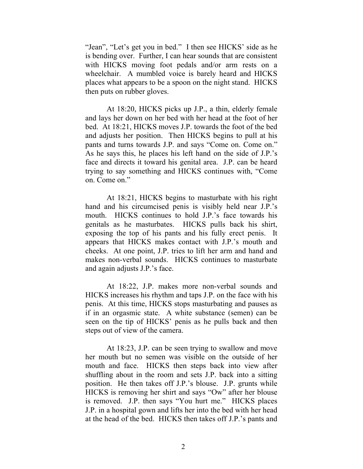"Jean", "Let's get you in bed." I then see HICKS' side as he is bending over. Further, I can hear sounds that are consistent with HICKS moving foot pedals and/or arm rests on a wheelchair. A mumbled voice is barely heard and HICKS places what appears to be a spoon on the night stand. HICKS then puts on rubber gloves.

At 18:20, HICKS picks up J.P., a thin, elderly female and lays her down on her bed with her head at the foot of her bed. At 18:21, HICKS moves J.P. towards the foot of the bed and adjusts her position. Then HICKS begins to pull at his pants and turns towards J.P. and says "Come on. Come on." As he says this, he places his left hand on the side of J.P.'s face and directs it toward his genital area. J.P. can be heard trying to say something and HICKS continues with, "Come on. Come on."

At 18:21, HICKS begins to masturbate with his right hand and his circumcised penis is visibly held near J.P.'s mouth. HICKS continues to hold J.P.'s face towards his genitals as he masturbates. HICKS pulls back his shirt, exposing the top of his pants and his fully erect penis. It appears that HICKS makes contact with J.P.'s mouth and cheeks. At one point, J.P. tries to lift her arm and hand and makes non-verbal sounds. HICKS continues to masturbate and again adjusts J.P.'s face.

At 18:22, J.P. makes more non-verbal sounds and HICKS increases his rhythm and taps J.P. on the face with his penis. At this time, HICKS stops masturbating and pauses as if in an orgasmic state. A white substance (semen) can be seen on the tip of HICKS' penis as he pulls back and then steps out of view of the camera.

At 18:23, J.P. can be seen trying to swallow and move her mouth but no semen was visible on the outside of her mouth and face. HICKS then steps back into view after shuffling about in the room and sets J.P. back into a sitting position. He then takes off J.P.'s blouse. J.P. grunts while HICKS is removing her shirt and says "Ow" after her blouse is removed. J.P. then says "You hurt me." HICKS places J.P. in a hospital gown and lifts her into the bed with her head at the head of the bed. HICKS then takes off J.P.'s pants and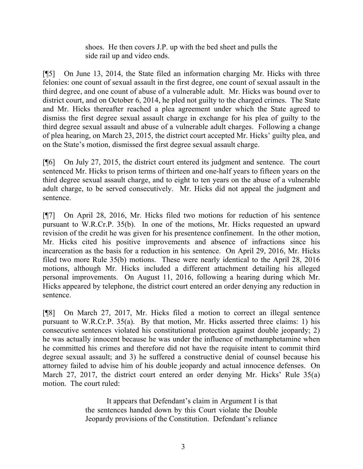shoes. He then covers J.P. up with the bed sheet and pulls the side rail up and video ends.

[¶5] On June 13, 2014, the State filed an information charging Mr. Hicks with three felonies: one count of sexual assault in the first degree, one count of sexual assault in the third degree, and one count of abuse of a vulnerable adult. Mr. Hicks was bound over to district court, and on October 6, 2014, he pled not guilty to the charged crimes. The State and Mr. Hicks thereafter reached a plea agreement under which the State agreed to dismiss the first degree sexual assault charge in exchange for his plea of guilty to the third degree sexual assault and abuse of a vulnerable adult charges. Following a change of plea hearing, on March 23, 2015, the district court accepted Mr. Hicks' guilty plea, and on the State's motion, dismissed the first degree sexual assault charge.

[¶6] On July 27, 2015, the district court entered its judgment and sentence. The court sentenced Mr. Hicks to prison terms of thirteen and one-half years to fifteen years on the third degree sexual assault charge, and to eight to ten years on the abuse of a vulnerable adult charge, to be served consecutively. Mr. Hicks did not appeal the judgment and sentence.

[¶7] On April 28, 2016, Mr. Hicks filed two motions for reduction of his sentence pursuant to W.R.Cr.P. 35(b). In one of the motions, Mr. Hicks requested an upward revision of the credit he was given for his presentence confinement. In the other motion, Mr. Hicks cited his positive improvements and absence of infractions since his incarceration as the basis for a reduction in his sentence. On April 29, 2016, Mr. Hicks filed two more Rule 35(b) motions. These were nearly identical to the April 28, 2016 motions, although Mr. Hicks included a different attachment detailing his alleged personal improvements. On August 11, 2016, following a hearing during which Mr. Hicks appeared by telephone, the district court entered an order denying any reduction in sentence.

[¶8] On March 27, 2017, Mr. Hicks filed a motion to correct an illegal sentence pursuant to W.R.Cr.P. 35(a). By that motion, Mr. Hicks asserted three claims: 1) his consecutive sentences violated his constitutional protection against double jeopardy; 2) he was actually innocent because he was under the influence of methamphetamine when he committed his crimes and therefore did not have the requisite intent to commit third degree sexual assault; and 3) he suffered a constructive denial of counsel because his attorney failed to advise him of his double jeopardy and actual innocence defenses. On March 27, 2017, the district court entered an order denying Mr. Hicks' Rule 35(a) motion. The court ruled:

> It appears that Defendant's claim in Argument I is that the sentences handed down by this Court violate the Double Jeopardy provisions of the Constitution. Defendant's reliance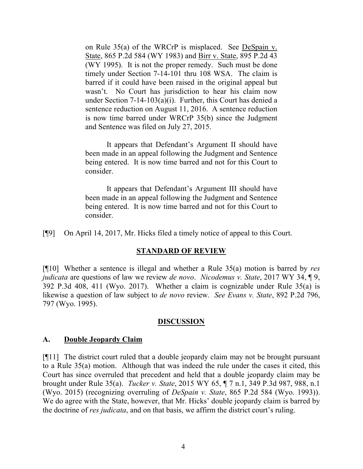on Rule  $35(a)$  of the WRCrP is misplaced. See DeSpain v. State, 865 P.2d 584 (WY 1983) and Birr v. State, 895 P.2d 43 (WY 1995). It is not the proper remedy. Such must be done timely under Section 7-14-101 thru 108 WSA. The claim is barred if it could have been raised in the original appeal but wasn't. No Court has jurisdiction to hear his claim now under Section 7-14-103(a)(i). Further, this Court has denied a sentence reduction on August 11, 2016. A sentence reduction is now time barred under WRCrP 35(b) since the Judgment and Sentence was filed on July 27, 2015.

It appears that Defendant's Argument II should have been made in an appeal following the Judgment and Sentence being entered. It is now time barred and not for this Court to consider.

It appears that Defendant's Argument III should have been made in an appeal following the Judgment and Sentence being entered. It is now time barred and not for this Court to consider.

[¶9] On April 14, 2017, Mr. Hicks filed a timely notice of appeal to this Court.

#### **STANDARD OF REVIEW**

[¶10] Whether a sentence is illegal and whether a Rule 35(a) motion is barred by *res judicata* are questions of law we review *de novo*. *Nicodemus v. State*, 2017 WY 34, ¶ 9, 392 P.3d 408, 411 (Wyo. 2017). Whether a claim is cognizable under Rule 35(a) is likewise a question of law subject to *de novo* review. *See Evans v. State*, 892 P.2d 796, 797 (Wyo. 1995).

#### **DISCUSSION**

#### **A. Double Jeopardy Claim**

[¶11] The district court ruled that a double jeopardy claim may not be brought pursuant to a Rule 35(a) motion. Although that was indeed the rule under the cases it cited, this Court has since overruled that precedent and held that a double jeopardy claim may be brought under Rule 35(a). *Tucker v. State*, 2015 WY 65, ¶ 7 n.1, 349 P.3d 987, 988, n.1 (Wyo. 2015) (recognizing overruling of *DeSpain v. State*, 865 P.2d 584 (Wyo. 1993)). We do agree with the State, however, that Mr. Hicks' double jeopardy claim is barred by the doctrine of *res judicata*, and on that basis, we affirm the district court's ruling.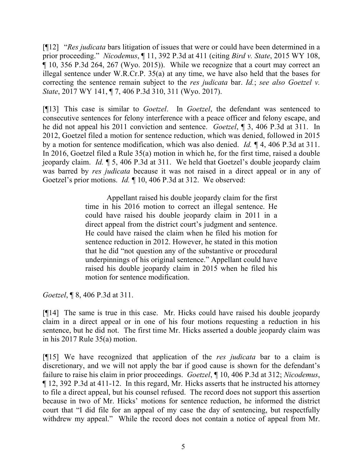[¶12] "*Res judicata* bars litigation of issues that were or could have been determined in a prior proceeding." *Nicodemus*, ¶ 11, 392 P.3d at 411 (citing *Bird v. State*, 2015 WY 108, ¶ 10, 356 P.3d 264, 267 (Wyo. 2015)). While we recognize that a court may correct an illegal sentence under W.R.Cr.P. 35(a) at any time, we have also held that the bases for correcting the sentence remain subject to the *res judicata* bar. *Id.*; *see also Goetzel v. State*, 2017 WY 141, ¶ 7, 406 P.3d 310, 311 (Wyo. 2017).

[¶13] This case is similar to *Goetzel*. In *Goetzel*, the defendant was sentenced to consecutive sentences for felony interference with a peace officer and felony escape, and he did not appeal his 2011 conviction and sentence. *Goetzel*, ¶ 3, 406 P.3d at 311. In 2012, Goetzel filed a motion for sentence reduction, which was denied, followed in 2015 by a motion for sentence modification, which was also denied. *Id.* ¶ 4, 406 P.3d at 311. In 2016, Goetzel filed a Rule 35(a) motion in which he, for the first time, raised a double jeopardy claim. *Id.* ¶ 5, 406 P.3d at 311. We held that Goetzel's double jeopardy claim was barred by *res judicata* because it was not raised in a direct appeal or in any of Goetzel's prior motions. *Id.* ¶ 10, 406 P.3d at 312. We observed:

> Appellant raised his double jeopardy claim for the first time in his 2016 motion to correct an illegal sentence. He could have raised his double jeopardy claim in 2011 in a direct appeal from the district court's judgment and sentence. He could have raised the claim when he filed his motion for sentence reduction in 2012. However, he stated in this motion that he did "not question any of the substantive or procedural underpinnings of his original sentence." Appellant could have raised his double jeopardy claim in 2015 when he filed his motion for sentence modification.

*Goetzel*, ¶ 8, 406 P.3d at 311.

[¶14] The same is true in this case. Mr. Hicks could have raised his double jeopardy claim in a direct appeal or in one of his four motions requesting a reduction in his sentence, but he did not. The first time Mr. Hicks asserted a double jeopardy claim was in his 2017 Rule 35(a) motion.

[¶15] We have recognized that application of the *res judicata* bar to a claim is discretionary, and we will not apply the bar if good cause is shown for the defendant's failure to raise his claim in prior proceedings. *Goetzel*, ¶ 10, 406 P.3d at 312; *Nicodemus*, ¶ 12, 392 P.3d at 411-12. In this regard, Mr. Hicks asserts that he instructed his attorney to file a direct appeal, but his counsel refused. The record does not support this assertion because in two of Mr. Hicks' motions for sentence reduction, he informed the district court that "I did file for an appeal of my case the day of sentencing, but respectfully withdrew my appeal." While the record does not contain a notice of appeal from Mr.